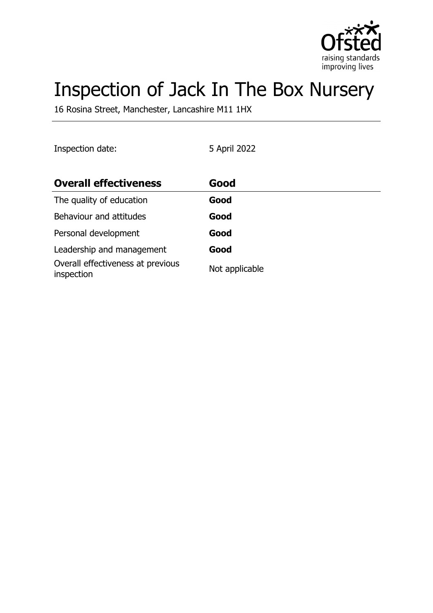

# Inspection of Jack In The Box Nursery

16 Rosina Street, Manchester, Lancashire M11 1HX

| Inspection date: | 5 April 2022 |
|------------------|--------------|
|------------------|--------------|

| <b>Overall effectiveness</b>                    | Good           |
|-------------------------------------------------|----------------|
| The quality of education                        | Good           |
| Behaviour and attitudes                         | Good           |
| Personal development                            | Good           |
| Leadership and management                       | Good           |
| Overall effectiveness at previous<br>inspection | Not applicable |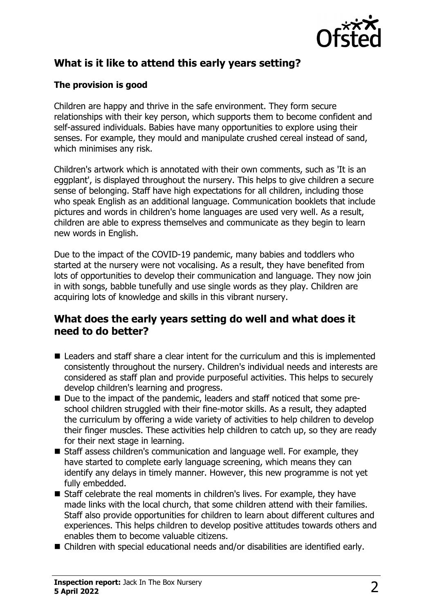

# **What is it like to attend this early years setting?**

## **The provision is good**

Children are happy and thrive in the safe environment. They form secure relationships with their key person, which supports them to become confident and self-assured individuals. Babies have many opportunities to explore using their senses. For example, they mould and manipulate crushed cereal instead of sand, which minimises any risk.

Children's artwork which is annotated with their own comments, such as 'It is an eggplant', is displayed throughout the nursery. This helps to give children a secure sense of belonging. Staff have high expectations for all children, including those who speak English as an additional language. Communication booklets that include pictures and words in children's home languages are used very well. As a result, children are able to express themselves and communicate as they begin to learn new words in English.

Due to the impact of the COVID-19 pandemic, many babies and toddlers who started at the nursery were not vocalising. As a result, they have benefited from lots of opportunities to develop their communication and language. They now join in with songs, babble tunefully and use single words as they play. Children are acquiring lots of knowledge and skills in this vibrant nursery.

## **What does the early years setting do well and what does it need to do better?**

- $\blacksquare$  Leaders and staff share a clear intent for the curriculum and this is implemented consistently throughout the nursery. Children's individual needs and interests are considered as staff plan and provide purposeful activities. This helps to securely develop children's learning and progress.
- Due to the impact of the pandemic, leaders and staff noticed that some preschool children struggled with their fine-motor skills. As a result, they adapted the curriculum by offering a wide variety of activities to help children to develop their finger muscles. These activities help children to catch up, so they are ready for their next stage in learning.
- Staff assess children's communication and language well. For example, they have started to complete early language screening, which means they can identify any delays in timely manner. However, this new programme is not yet fully embedded.
- $\blacksquare$  Staff celebrate the real moments in children's lives. For example, they have made links with the local church, that some children attend with their families. Staff also provide opportunities for children to learn about different cultures and experiences. This helps children to develop positive attitudes towards others and enables them to become valuable citizens.
- Children with special educational needs and/or disabilities are identified early.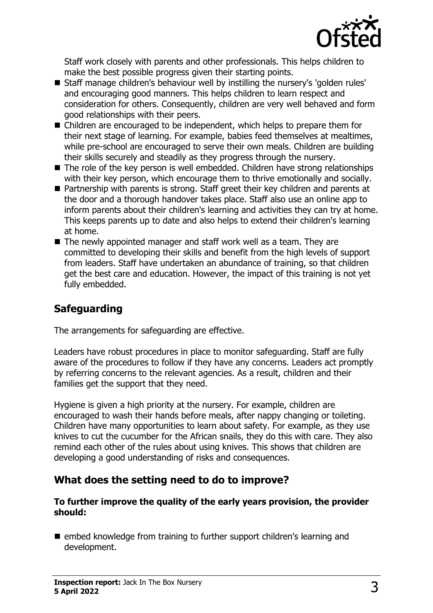

Staff work closely with parents and other professionals. This helps children to make the best possible progress given their starting points.

- Staff manage children's behaviour well by instilling the nursery's 'golden rules' and encouraging good manners. This helps children to learn respect and consideration for others. Consequently, children are very well behaved and form good relationships with their peers.
- Children are encouraged to be independent, which helps to prepare them for their next stage of learning. For example, babies feed themselves at mealtimes, while pre-school are encouraged to serve their own meals. Children are building their skills securely and steadily as they progress through the nursery.
- $\blacksquare$  The role of the key person is well embedded. Children have strong relationships with their key person, which encourage them to thrive emotionally and socially.
- Partnership with parents is strong. Staff greet their key children and parents at the door and a thorough handover takes place. Staff also use an online app to inform parents about their children's learning and activities they can try at home. This keeps parents up to date and also helps to extend their children's learning at home.
- $\blacksquare$  The newly appointed manager and staff work well as a team. They are committed to developing their skills and benefit from the high levels of support from leaders. Staff have undertaken an abundance of training, so that children get the best care and education. However, the impact of this training is not yet fully embedded.

# **Safeguarding**

The arrangements for safeguarding are effective.

Leaders have robust procedures in place to monitor safeguarding. Staff are fully aware of the procedures to follow if they have any concerns. Leaders act promptly by referring concerns to the relevant agencies. As a result, children and their families get the support that they need.

Hygiene is given a high priority at the nursery. For example, children are encouraged to wash their hands before meals, after nappy changing or toileting. Children have many opportunities to learn about safety. For example, as they use knives to cut the cucumber for the African snails, they do this with care. They also remind each other of the rules about using knives. This shows that children are developing a good understanding of risks and consequences.

## **What does the setting need to do to improve?**

#### **To further improve the quality of the early years provision, the provider should:**

 $\blacksquare$  embed knowledge from training to further support children's learning and development.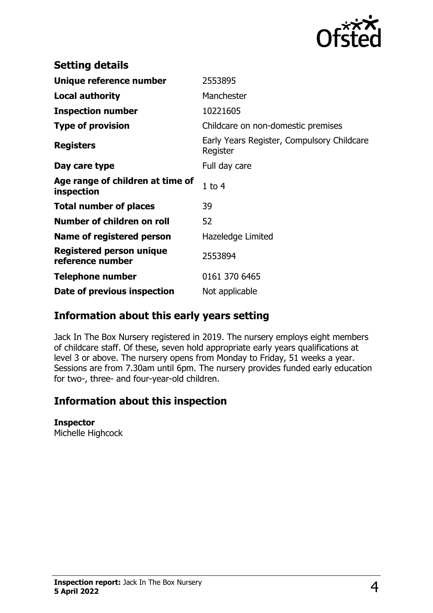

| <b>Setting details</b>                              |                                                        |
|-----------------------------------------------------|--------------------------------------------------------|
| Unique reference number                             | 2553895                                                |
| <b>Local authority</b>                              | Manchester                                             |
| <b>Inspection number</b>                            | 10221605                                               |
| <b>Type of provision</b>                            | Childcare on non-domestic premises                     |
| <b>Registers</b>                                    | Early Years Register, Compulsory Childcare<br>Register |
| Day care type                                       | Full day care                                          |
| Age range of children at time of<br>inspection      | $1$ to $4$                                             |
| <b>Total number of places</b>                       | 39                                                     |
| Number of children on roll                          | 52                                                     |
| Name of registered person                           | Hazeledge Limited                                      |
| <b>Registered person unique</b><br>reference number | 2553894                                                |
| <b>Telephone number</b>                             | 0161 370 6465                                          |
| Date of previous inspection                         | Not applicable                                         |

# **Information about this early years setting**

Jack In The Box Nursery registered in 2019. The nursery employs eight members of childcare staff. Of these, seven hold appropriate early years qualifications at level 3 or above. The nursery opens from Monday to Friday, 51 weeks a year. Sessions are from 7.30am until 6pm. The nursery provides funded early education for two-, three- and four-year-old children.

# **Information about this inspection**

#### **Inspector**

Michelle Highcock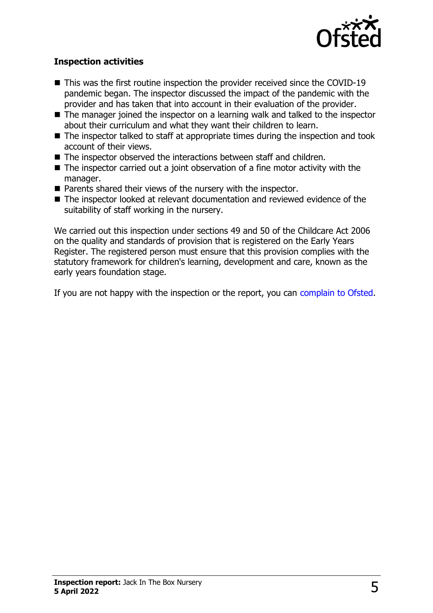

### **Inspection activities**

- $\blacksquare$  This was the first routine inspection the provider received since the COVID-19 pandemic began. The inspector discussed the impact of the pandemic with the provider and has taken that into account in their evaluation of the provider.
- $\blacksquare$  The manager joined the inspector on a learning walk and talked to the inspector about their curriculum and what they want their children to learn.
- $\blacksquare$  The inspector talked to staff at appropriate times during the inspection and took account of their views.
- $\blacksquare$  The inspector observed the interactions between staff and children.
- $\blacksquare$  The inspector carried out a joint observation of a fine motor activity with the manager.
- $\blacksquare$  Parents shared their views of the nursery with the inspector.
- $\blacksquare$  The inspector looked at relevant documentation and reviewed evidence of the suitability of staff working in the nursery.

We carried out this inspection under sections 49 and 50 of the Childcare Act 2006 on the quality and standards of provision that is registered on the Early Years Register. The registered person must ensure that this provision complies with the statutory framework for children's learning, development and care, known as the early years foundation stage.

If you are not happy with the inspection or the report, you can [complain to Ofsted](http://www.gov.uk/complain-ofsted-report).